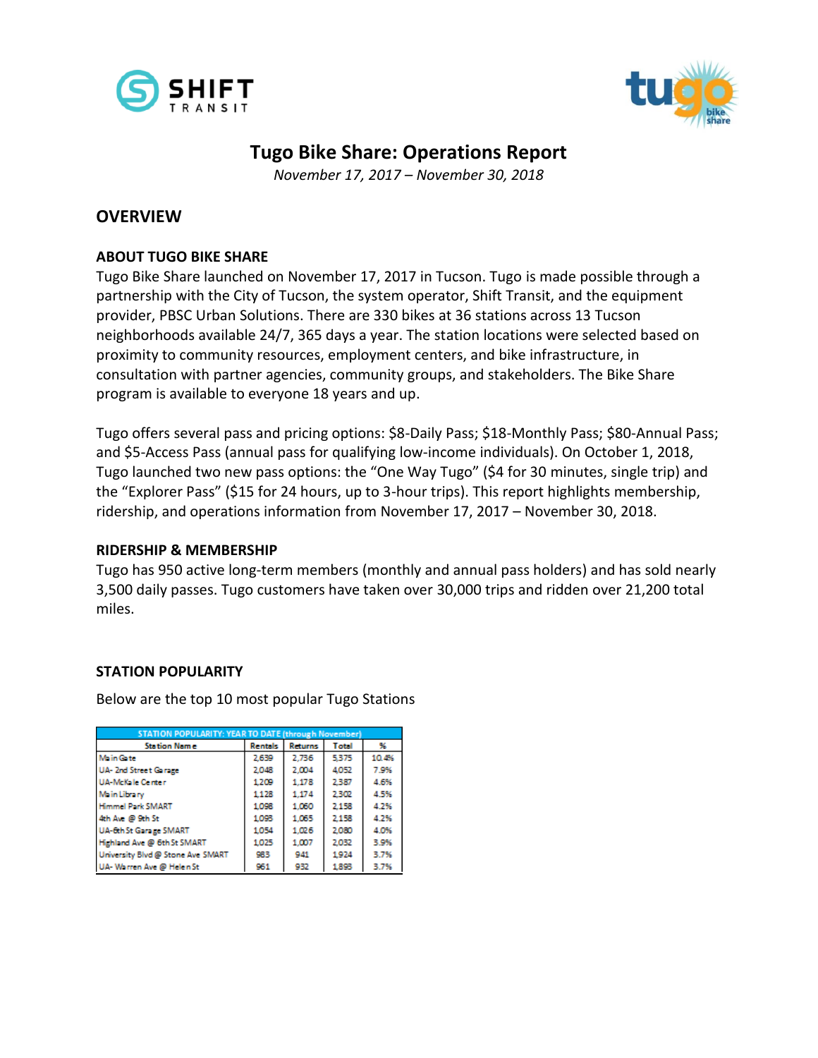



# **Tugo Bike Share: Operations Report**

*November 17, 2017 – November 30, 2018*

## **OVERVIEW**

### **ABOUT TUGO BIKE SHARE**

Tugo Bike Share launched on November 17, 2017 in Tucson. Tugo is made possible through a partnership with the City of Tucson, the system operator, Shift Transit, and the equipment provider, PBSC Urban Solutions. There are 330 bikes at 36 stations across 13 Tucson neighborhoods available 24/7, 365 days a year. The station locations were selected based on proximity to community resources, employment centers, and bike infrastructure, in consultation with partner agencies, community groups, and stakeholders. The Bike Share program is available to everyone 18 years and up.

Tugo offers several pass and pricing options: \$8-Daily Pass; \$18-Monthly Pass; \$80-Annual Pass; and \$5-Access Pass (annual pass for qualifying low-income individuals). On October 1, 2018, Tugo launched two new pass options: the "One Way Tugo" (\$4 for 30 minutes, single trip) and the "Explorer Pass" (\$15 for 24 hours, up to 3-hour trips). This report highlights membership, ridership, and operations information from November 17, 2017 – November 30, 2018.

### **RIDERSHIP & MEMBERSHIP**

Tugo has 950 active long-term members (monthly and annual pass holders) and has sold nearly 3,500 daily passes. Tugo customers have taken over 30,000 trips and ridden over 21,200 total miles.

### **STATION POPULARITY**

Below are the top 10 most popular Tugo Stations

| <b>STATION POPULARITY: YEAR TO DATE (through November)</b> |                |                |              |       |  |  |  |  |
|------------------------------------------------------------|----------------|----------------|--------------|-------|--|--|--|--|
| <b>Station Name</b>                                        | <b>Rentals</b> | <b>Returns</b> | <b>Total</b> | 96    |  |  |  |  |
| <b>Main Gate</b>                                           | 2.639          | 2.736          | 5.375        | 10.4% |  |  |  |  |
| UA- 2nd Street Garage                                      | 2.048          | 2.004          | 4.052        | 7.9%  |  |  |  |  |
| <b>UA-McKale Center</b>                                    | 1209           | 1.178          | 2.387        | 4.6%  |  |  |  |  |
| <b>Main Library</b>                                        | 1.128          | 1.174          | 2.302        | 4.5%  |  |  |  |  |
| <b>Himmel Park SMART</b>                                   | 1.098          | 1.060          | 2.158        | 4.2%  |  |  |  |  |
| 4th Ave @ 9th St                                           | 1.093          | 1.065          | 2.158        | 4.2%  |  |  |  |  |
| UA-6th St Garage SMART                                     | 1.054          | 1.026          | 2.080        | 4.0%  |  |  |  |  |
| Highland Ave @ 6th St SMART                                | 1.025          | 1,007          | 2.032        | 3.9%  |  |  |  |  |
| University Blvd @ Stone Ave SMART                          | 983            | 941            | 1924         | 3.7%  |  |  |  |  |
| UA-Warren Ave @ Helen St                                   | 951            | 932            | 1.893        | 3.7%  |  |  |  |  |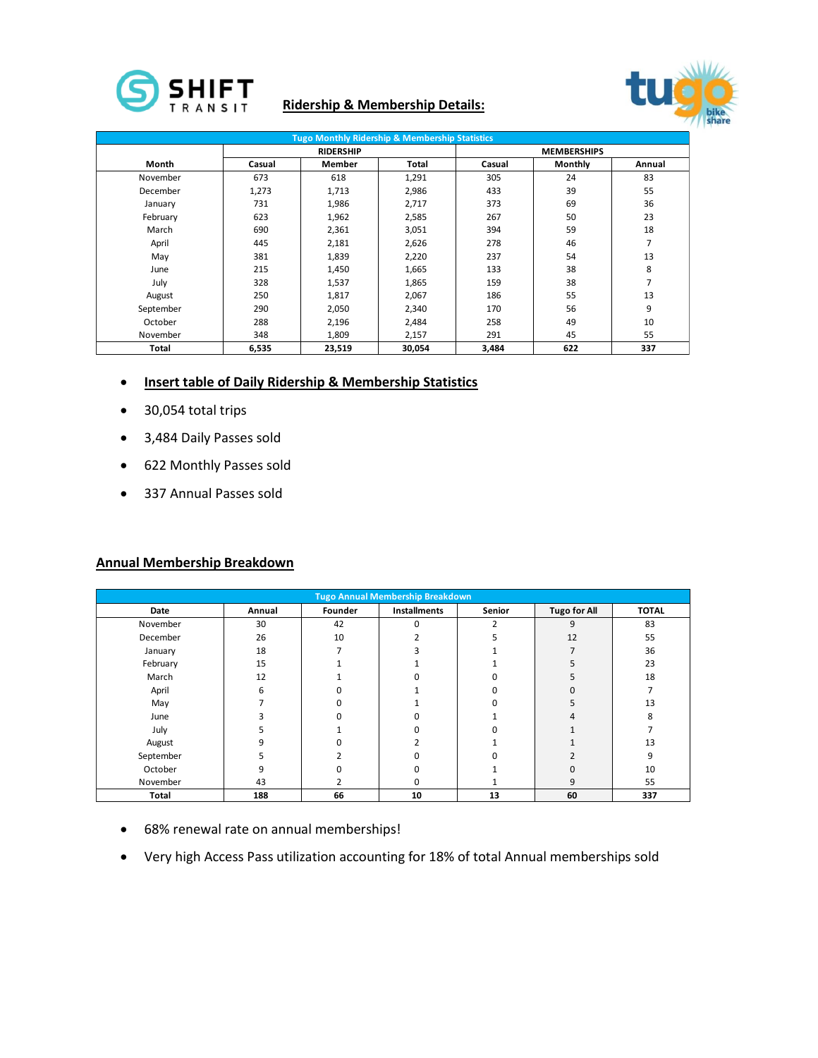

### **Ridership & Membership Details:**



| <b>Tugo Monthly Ridership &amp; Membership Statistics</b> |        |                  |              |                    |                |        |  |  |
|-----------------------------------------------------------|--------|------------------|--------------|--------------------|----------------|--------|--|--|
|                                                           |        | <b>RIDERSHIP</b> |              | <b>MEMBERSHIPS</b> |                |        |  |  |
| Month                                                     | Casual | Member           | <b>Total</b> | Casual             | <b>Monthly</b> | Annual |  |  |
| November                                                  | 673    | 618              | 1,291        | 305                | 24             | 83     |  |  |
| December                                                  | 1,273  | 1,713            | 2,986        | 433                | 39             | 55     |  |  |
| January                                                   | 731    | 1,986            | 2,717        | 373                | 69             | 36     |  |  |
| February                                                  | 623    | 1,962            | 2,585        | 267                | 50             | 23     |  |  |
| March                                                     | 690    | 2,361            | 3,051        | 394                | 59             | 18     |  |  |
| April                                                     | 445    | 2,181            | 2,626        | 278                | 46             | 7      |  |  |
| May                                                       | 381    | 1,839            | 2,220        | 237                | 54             | 13     |  |  |
| June                                                      | 215    | 1,450            | 1,665        | 133                | 38             | 8      |  |  |
| July                                                      | 328    | 1,537            | 1,865        | 159                | 38             | 7      |  |  |
| August                                                    | 250    | 1,817            | 2,067        | 186                | 55             | 13     |  |  |
| September                                                 | 290    | 2,050            | 2,340        | 170                | 56             | 9      |  |  |
| October                                                   | 288    | 2,196            | 2,484        | 258                | 49             | 10     |  |  |
| November                                                  | 348    | 1,809            | 2,157        | 291                | 45             | 55     |  |  |
| Total                                                     | 6,535  | 23,519           | 30,054       | 3,484              | 622            | 337    |  |  |

- **Insert table of Daily Ridership & Membership Statistics**
- 30,054 total trips
- 3,484 Daily Passes sold
- 622 Monthly Passes sold
- 337 Annual Passes sold

#### **Annual Membership Breakdown**

|           |                         |         | <b>Tugo Annual Membership Breakdown</b> |               |                     |              |
|-----------|-------------------------|---------|-----------------------------------------|---------------|---------------------|--------------|
| Date      | Annual                  | Founder | Installments                            | Senior        | <b>Tugo for All</b> | <b>TOTAL</b> |
| November  | 30                      | 42      | $\mathbf 0$                             | $\mathcal{P}$ | 9                   | 83           |
| December  | 26                      | 10      | n                                       |               | 12                  | 55           |
| January   | 18                      | ⇁       | з                                       |               | $\mathbf{z}$        | 36           |
| February  | 15                      |         |                                         |               |                     | 23           |
| March     | 12                      |         | $\Omega$                                |               |                     | 18           |
| April     | 6                       |         |                                         |               |                     |              |
| May       | -                       |         |                                         |               |                     | 13           |
| June      | $\overline{\mathbf{a}}$ |         | $\Omega$                                |               |                     |              |
| July      |                         |         | $\Omega$                                |               |                     |              |
| August    | 9                       |         | ຳ                                       |               |                     | 13           |
| September |                         |         | $\Omega$                                |               |                     | 9            |
| October   | 9                       |         | $\Omega$                                |               |                     | 10           |
| November  | 43                      |         | 0                                       |               | a                   | 55           |
| Total     | 188                     | 66      | 10                                      | 13            | 60                  | 337          |

- 68% renewal rate on annual memberships!
- Very high Access Pass utilization accounting for 18% of total Annual memberships sold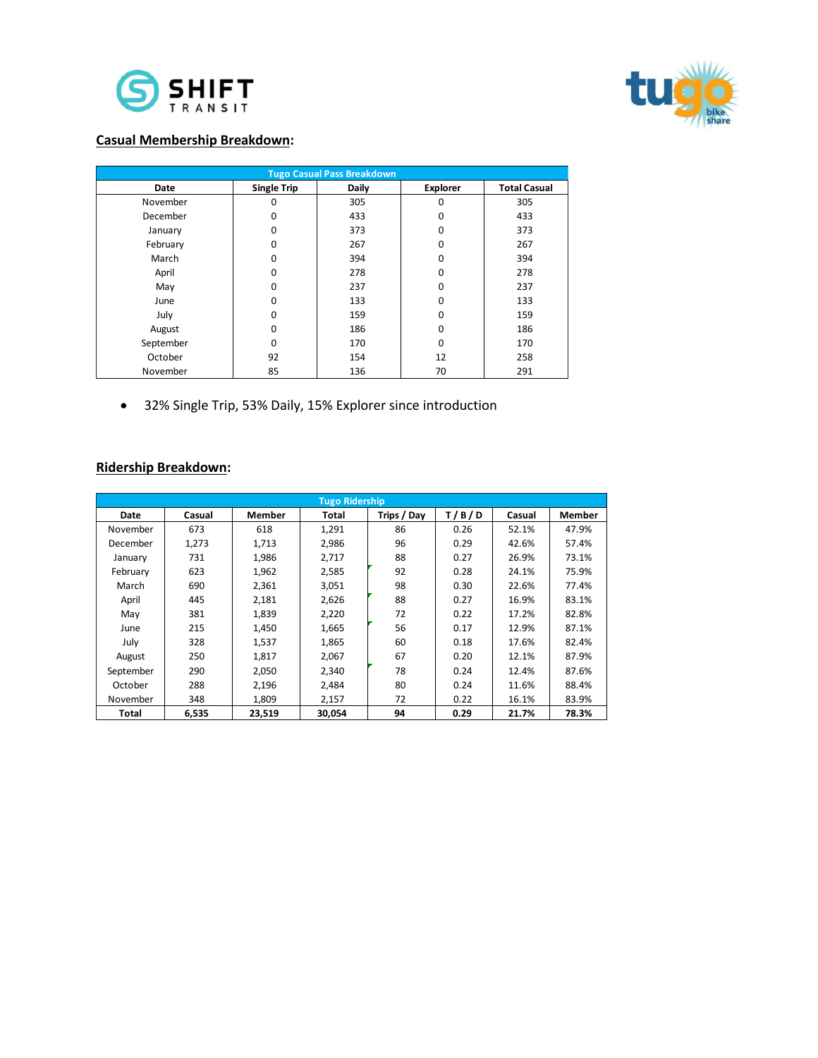



### **Casual Membership Breakdown:**

| <b>Tugo Casual Pass Breakdown</b> |                    |              |                 |                     |  |  |  |  |
|-----------------------------------|--------------------|--------------|-----------------|---------------------|--|--|--|--|
| <b>Date</b>                       | <b>Single Trip</b> | <b>Daily</b> | <b>Explorer</b> | <b>Total Casual</b> |  |  |  |  |
| November                          | 0                  | 305          | $\Omega$        | 305                 |  |  |  |  |
| December                          | 0                  | 433          | 0               | 433                 |  |  |  |  |
| January                           | 0                  | 373          | $\Omega$        | 373                 |  |  |  |  |
| February                          | 0                  | 267          | 0               | 267                 |  |  |  |  |
| March                             | 0                  | 394          | $\Omega$        | 394                 |  |  |  |  |
| April                             | 0                  | 278          | 0               | 278                 |  |  |  |  |
| May                               | 0                  | 237          | $\Omega$        | 237                 |  |  |  |  |
| June                              | 0                  | 133          | $\Omega$        | 133                 |  |  |  |  |
| July                              | 0                  | 159          | $\Omega$        | 159                 |  |  |  |  |
| August                            | 0                  | 186          | 0               | 186                 |  |  |  |  |
| September                         | 0                  | 170          | $\Omega$        | 170                 |  |  |  |  |
| October                           | 92                 | 154          | 12              | 258                 |  |  |  |  |
| November                          | 85                 | 136          | 70              | 291                 |  |  |  |  |

32% Single Trip, 53% Daily, 15% Explorer since introduction

### **Ridership Breakdown:**

|           | <b>Tugo Ridership</b> |        |        |             |       |        |        |  |  |
|-----------|-----------------------|--------|--------|-------------|-------|--------|--------|--|--|
| Date      | Casual                | Member | Total  | Trips / Day | T/B/D | Casual | Member |  |  |
| November  | 673                   | 618    | 1,291  | 86          | 0.26  | 52.1%  | 47.9%  |  |  |
| December  | 1,273                 | 1,713  | 2,986  | 96          | 0.29  | 42.6%  | 57.4%  |  |  |
| January   | 731                   | 1,986  | 2,717  | 88          | 0.27  | 26.9%  | 73.1%  |  |  |
| February  | 623                   | 1,962  | 2,585  | 92          | 0.28  | 24.1%  | 75.9%  |  |  |
| March     | 690                   | 2,361  | 3.051  | 98          | 0.30  | 22.6%  | 77.4%  |  |  |
| April     | 445                   | 2.181  | 2,626  | 88          | 0.27  | 16.9%  | 83.1%  |  |  |
| May       | 381                   | 1,839  | 2,220  | 72          | 0.22  | 17.2%  | 82.8%  |  |  |
| June      | 215                   | 1,450  | 1,665  | 56          | 0.17  | 12.9%  | 87.1%  |  |  |
| July      | 328                   | 1,537  | 1,865  | 60          | 0.18  | 17.6%  | 82.4%  |  |  |
| August    | 250                   | 1,817  | 2,067  | 67          | 0.20  | 12.1%  | 87.9%  |  |  |
| September | 290                   | 2,050  | 2,340  | 78          | 0.24  | 12.4%  | 87.6%  |  |  |
| October   | 288                   | 2,196  | 2,484  | 80          | 0.24  | 11.6%  | 88.4%  |  |  |
| November  | 348                   | 1,809  | 2,157  | 72          | 0.22  | 16.1%  | 83.9%  |  |  |
| Total     | 6,535                 | 23.519 | 30.054 | 94          | 0.29  | 21.7%  | 78.3%  |  |  |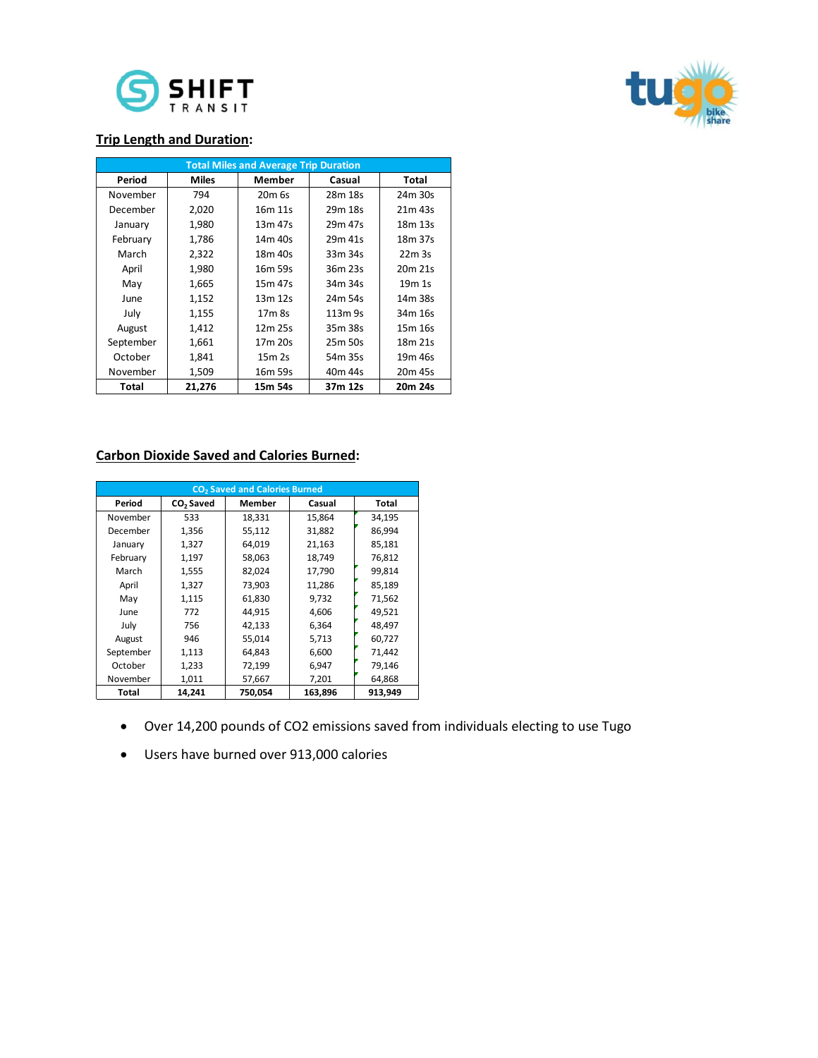



#### **Trip Length and Duration:**

| <b>Total Miles and Average Trip Duration</b> |              |                    |         |                     |  |  |  |
|----------------------------------------------|--------------|--------------------|---------|---------------------|--|--|--|
| Period                                       | <b>Miles</b> | <b>Member</b>      | Casual  | Total               |  |  |  |
| November                                     | 794          | 20 <sub>m</sub> 6s | 28m 18s | 24m 30s             |  |  |  |
| December                                     | 2,020        | 16m 11s            | 29m 18s | 21m 43s             |  |  |  |
| January                                      | 1,980        | 13m 47s            | 29m 47s | 18 <sub>m</sub> 13s |  |  |  |
| February                                     | 1,786        | 14m 40s            | 29m 41s | 18 <sub>m</sub> 37s |  |  |  |
| March                                        | 2,322        | 18m 40s            | 33m 34s | 22m 3s              |  |  |  |
| April                                        | 1,980        | 16m 59s            | 36m 23s | 20m 21s             |  |  |  |
| May                                          | 1,665        | 15m 47s            | 34m 34s | 19m 1s              |  |  |  |
| June                                         | 1,152        | 13m 12s            | 24m 54s | 14m 38s             |  |  |  |
| July                                         | 1,155        | 17 <sub>m</sub> 8s | 113m 9s | 34m 16s             |  |  |  |
| August                                       | 1,412        | 12m 25s            | 35m 38s | 15 <sub>m</sub> 16s |  |  |  |
| September                                    | 1,661        | 17m 20s            | 25m 50s | 18m 21s             |  |  |  |
| October                                      | 1,841        | 15m 2s             | 54m 35s | 19 <sub>m</sub> 46s |  |  |  |
| November                                     | 1,509        | 16m 59s            | 40m 44s | 20m 45s             |  |  |  |
| Total                                        | 21,276       | 15m 54s            | 37m 12s | 20m 24s             |  |  |  |

#### **Carbon Dioxide Saved and Calories Burned:**

| CO <sub>2</sub> Saved and Calories Burned |                       |         |         |              |  |  |  |
|-------------------------------------------|-----------------------|---------|---------|--------------|--|--|--|
| Period                                    | CO <sub>2</sub> Saved | Member  | Casual  | <b>Total</b> |  |  |  |
| November                                  | 533                   | 18,331  | 15,864  | 34,195       |  |  |  |
| December                                  | 1,356                 | 55,112  | 31,882  | 86,994       |  |  |  |
| January                                   | 1,327                 | 64,019  | 21,163  | 85,181       |  |  |  |
| February                                  | 1,197                 | 58,063  | 18,749  | 76,812       |  |  |  |
| March                                     | 1,555                 | 82,024  | 17,790  | 99,814       |  |  |  |
| April                                     | 1,327                 | 73,903  | 11,286  | 85,189       |  |  |  |
| May                                       | 1,115                 | 61,830  | 9,732   | 71,562       |  |  |  |
| June                                      | 772                   | 44.915  | 4,606   | 49.521       |  |  |  |
| July                                      | 756                   | 42,133  | 6,364   | 48,497       |  |  |  |
| August                                    | 946                   | 55.014  | 5,713   | 60,727       |  |  |  |
| September                                 | 1,113                 | 64.843  | 6,600   | 71,442       |  |  |  |
| October                                   | 1,233                 | 72,199  | 6,947   | 79,146       |  |  |  |
| November                                  | 1,011                 | 57,667  | 7,201   | 64,868       |  |  |  |
| Total                                     | 14.241                | 750,054 | 163,896 | 913,949      |  |  |  |

- Over 14,200 pounds of CO2 emissions saved from individuals electing to use Tugo
- Users have burned over 913,000 calories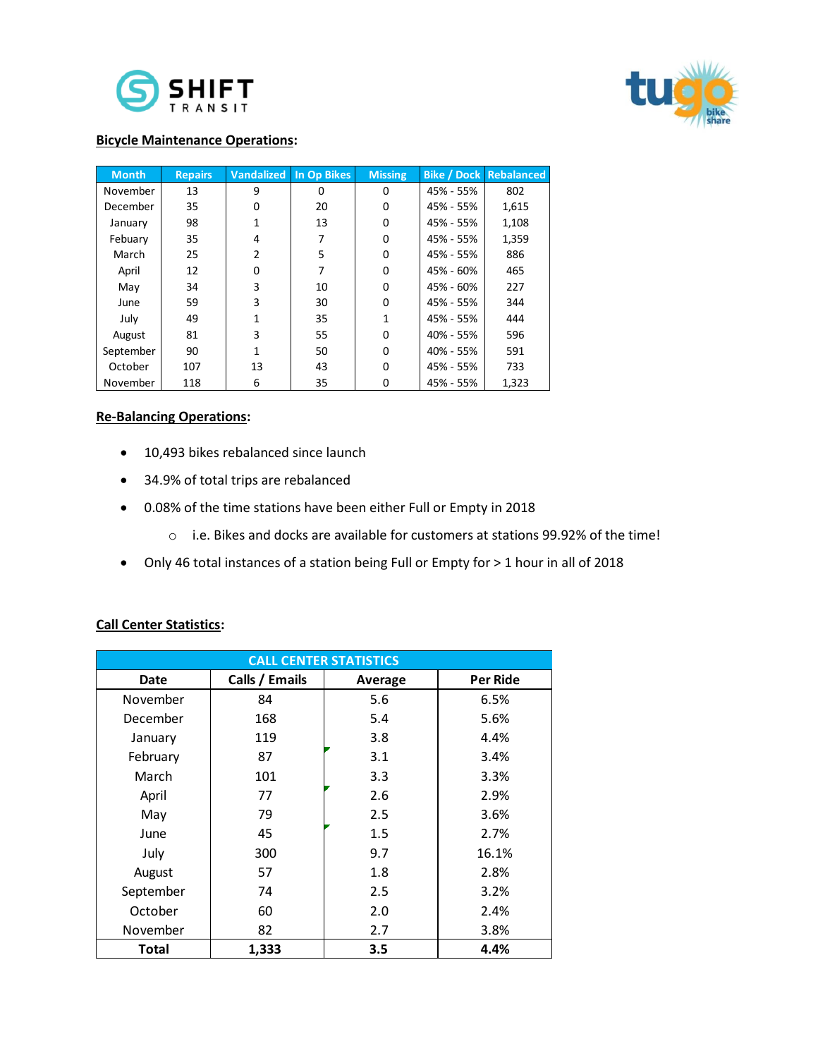



#### **Bicycle Maintenance Operations:**

| <b>Month</b> | <b>Repairs</b> | <b>Vandalized</b> | In Op Bikes | <b>Missing</b> |           | <b>Bike / Dock Rebalanced</b> |
|--------------|----------------|-------------------|-------------|----------------|-----------|-------------------------------|
| November     | 13             | 9                 | ŋ           | 0              | 45% - 55% | 802                           |
| December     | 35             | $\Omega$          | 20          | 0              | 45% - 55% | 1,615                         |
| January      | 98             | 1                 | 13          | 0              | 45% - 55% | 1,108                         |
| Febuary      | 35             | 4                 |             | 0              | 45% - 55% | 1,359                         |
| March        | 25             | $\overline{2}$    | 5           | 0              | 45% - 55% | 886                           |
| April        | 12             | $\Omega$          |             | 0              | 45% - 60% | 465                           |
| May          | 34             | 3                 | 10          | 0              | 45% - 60% | 227                           |
| June         | 59             | 3                 | 30          | 0              | 45% - 55% | 344                           |
| July         | 49             | 1                 | 35          | 1              | 45% - 55% | 444                           |
| August       | 81             | 3                 | 55          | 0              | 40% - 55% | 596                           |
| September    | 90             | 1                 | 50          | 0              | 40% - 55% | 591                           |
| October      | 107            | 13                | 43          | 0              | 45% - 55% | 733                           |
| November     | 118            | 6                 | 35          | 0              | 45% - 55% | 1,323                         |

#### **Re-Balancing Operations:**

- 10,493 bikes rebalanced since launch
- 34.9% of total trips are rebalanced
- 0.08% of the time stations have been either Full or Empty in 2018
	- o i.e. Bikes and docks are available for customers at stations 99.92% of the time!
- Only 46 total instances of a station being Full or Empty for > 1 hour in all of 2018

#### **Call Center Statistics:**

| <b>CALL CENTER STATISTICS</b> |                |         |          |  |  |  |  |
|-------------------------------|----------------|---------|----------|--|--|--|--|
| Date                          | Calls / Emails | Average | Per Ride |  |  |  |  |
| November                      | 84             | 5.6     | 6.5%     |  |  |  |  |
| December                      | 168            | 5.4     | 5.6%     |  |  |  |  |
| January                       | 119            | 3.8     | 4.4%     |  |  |  |  |
| February                      | 87             | 3.1     | 3.4%     |  |  |  |  |
| March                         | 101            | 3.3     | 3.3%     |  |  |  |  |
| April                         | 77             | 2.6     | 2.9%     |  |  |  |  |
| May                           | 79             | 2.5     | 3.6%     |  |  |  |  |
| June                          | 45             | 1.5     | 2.7%     |  |  |  |  |
| July                          | 300            | 9.7     | 16.1%    |  |  |  |  |
| August                        | 57             | 1.8     | 2.8%     |  |  |  |  |
| September                     | 74             | 2.5     | 3.2%     |  |  |  |  |
| October                       | 60             | 2.0     | 2.4%     |  |  |  |  |
| November                      | 82             | 2.7     | 3.8%     |  |  |  |  |
| Total                         | 1,333          | 3.5     | 4.4%     |  |  |  |  |